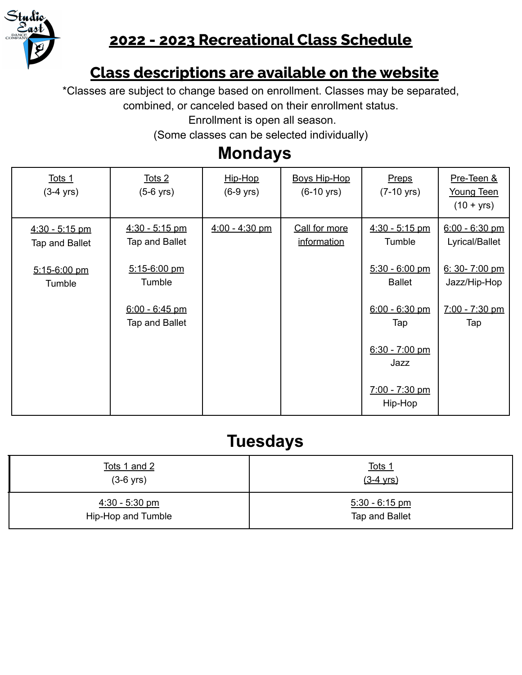

## **2022 - 2023 Recreational Class Schedule**

### **Class descriptions are available on the website**

\*Classes are subject to change based on enrollment. Classes may be separated,

combined, or canceled based on their enrollment status.

Enrollment is open all season.

(Some classes can be selected individually)

# **Mondays**

| Tots 1<br>$(3-4 \text{ yrs})$      | Tots 2<br>$(5-6$ yrs)              | Hip-Hop<br>$(6-9$ yrs) | <b>Boys Hip-Hop</b><br>$(6-10 \text{ yrs})$ | Preps<br>$(7-10 \text{ yrs})$     | Pre-Teen &<br>Young Teen<br>$(10 + yrs)$ |
|------------------------------------|------------------------------------|------------------------|---------------------------------------------|-----------------------------------|------------------------------------------|
| $4:30 - 5:15$ pm<br>Tap and Ballet | $4:30 - 5:15$ pm<br>Tap and Ballet | $4:00 - 4:30$ pm       | Call for more<br>information                | $4:30 - 5:15$ pm<br>Tumble        | $6:00 - 6:30$ pm<br>Lyrical/Ballet       |
| $5:15-6:00$ pm<br>Tumble           | $5:15 - 6:00$ pm<br>Tumble         |                        |                                             | $5:30 - 6:00$ pm<br><b>Ballet</b> | $6: 30 - 7:00$ pm<br>Jazz/Hip-Hop        |
|                                    | $6:00 - 6:45$ pm<br>Tap and Ballet |                        |                                             | $6:00 - 6:30$ pm<br>Tap           | 7:00 - 7:30 pm<br>Tap                    |
|                                    |                                    |                        |                                             | $6:30 - 7:00$ pm<br>Jazz          |                                          |
|                                    |                                    |                        |                                             | $7:00 - 7:30$ pm<br>Hip-Hop       |                                          |

## **Tuesdays**

| Tots 1 and 2       | <u>Tots 1</u>       |
|--------------------|---------------------|
| $(3-6$ yrs)        | $(3-4 \text{ yrs})$ |
| $4:30 - 5:30$ pm   | $5:30 - 6:15$ pm    |
| Hip-Hop and Tumble | Tap and Ballet      |